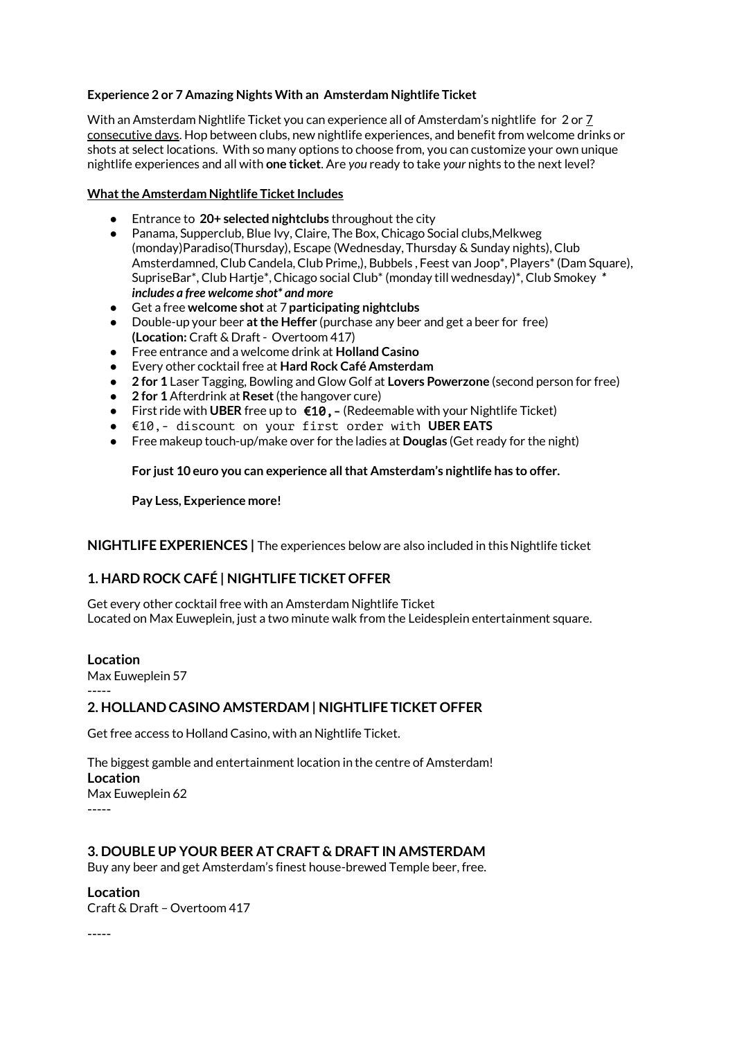# **Experience 2 or 7 Amazing Nights With an Amsterdam Nightlife Ticket**

With an Amsterdam Nightlife Ticket you can experience all of Amsterdam's nightlife for 2 or 7 consecutive days. Hop between clubs, new nightlife experiences, and benefit from welcome drinks or shots at select locations. With so many options to choose from, you can customize your own unique nightlife experiences and all with **one ticket**. Are *you* ready to take *your* nights to the next level?

## **What the Amsterdam Nightlife Ticket Includes**

- Entrance to **20+ selected nightclubs** throughout the city
- Panama, Supperclub, Blue Ivy, Claire, The Box, Chicago Social clubs,Melkweg (monday)Paradiso(Thursday), Escape (Wednesday, Thursday & Sunday nights), Club Amsterdamned, Club Candela, Club Prime,), Bubbels , Feest van Joop\*, Players\* (Dam Square), SupriseBar\*, Club Hartje\*, Chicago social Club\* (monday till wednesday)\*, Club Smokey *\* includes a free welcome shot\* and more*
- Get a free **welcome shot** at 7 **participating nightclubs**
- Double-up your beer **at the Heffer** (purchase any beer and get a beer for free) **(Location:** Craft & Draft - Overtoom 417)
- Free entrance and a welcome drink at **Holland Casino**
- Every other cocktail free at **Hard Rock Café Amsterdam**
- **2 for 1** Laser Tagging, Bowling and Glow Golf at **Lovers Powerzone** (second person for free)
- **2 for 1** Afterdrink at **Reset** (the hangover cure)
- First ride with **UBER** free up to €10,- (Redeemable with your Nightlife Ticket)
- €10,- discount on your first order with **UBER EATS**
- Free makeup touch-up/make over for the ladies at **Douglas** (Get ready for the night)

**For just 10 euro you can experience all that Amsterdam's nightlife has to offer.** 

**Pay Less, Experience more!**

**NIGHTLIFE EXPERIENCES |** The experiences below are also included in this Nightlife ticket

# **1. HARD ROCK CAFÉ | NIGHTLIFE TICKET OFFER**

Get every other cocktail free with an Amsterdam Nightlife Ticket Located on [Max Euweplein,](https://www.google.nl/maps/place/Hard+Rock+Cafe+Amsterdam/@52.3620592,4.8830122,17z/data=!3m1!4b1!4m7!1m4!3m3!1s0x47c609e8d6cee5c1:0x876c9631c42477da!2sHard+Rock+Cafe+Amsterdam!3b1!3m1!1s0x47c609e8d6cee5c1:0x876c9631c42477da) just a two minute walk from the Leidesplein entertainment square.

**Location**

[Max Euweplein 57](https://www.google.nl/maps/place/Hard+Rock+Cafe+Amsterdam/@52.3620592,4.8808182,17z/data=!3m1!4b1!4m2!3m1!1s0x47c609e8d6cee5c1:0x876c9631c42477da) -----

# **2. HOLLAND CASINO AMSTERDAM | NIGHTLIFE TICKET OFFER**

Get free access to Holland Casino, with an Nightlife Ticket.

The biggest gamble and entertainment location in the centre of Amsterdam! **Location** [Max Euweplein 62](https://www.google.nl/maps/place/Holland+Casino/@52.3624125,4.8801399,17z/data=!3m1!4b1!4m2!3m1!1s0x47c609e8c9d99a97:0x77597b1aa6b29e71)

-----

# **3. DOUBLE UP YOUR BEER AT CRAFT & DRAFT IN AMSTERDAM**

Buy any beer and get Amsterdam's finest house-brewed Temple beer, free.

**Location**

Craft & Draft – [Overtoom 417](https://www.google.nl/maps/place/Craft+%26+Draft/@52.3590719,4.8589801,17z/data=!4m7!1m4!3m3!1s0x47c5e208c6a75201:0x3eafd53c62d041d4!2sOvertoom+417,+1054+JR+Amsterdam!3b1!3m1!1s0x47c5e208c6a75201:0x9f423446415751d0)

-----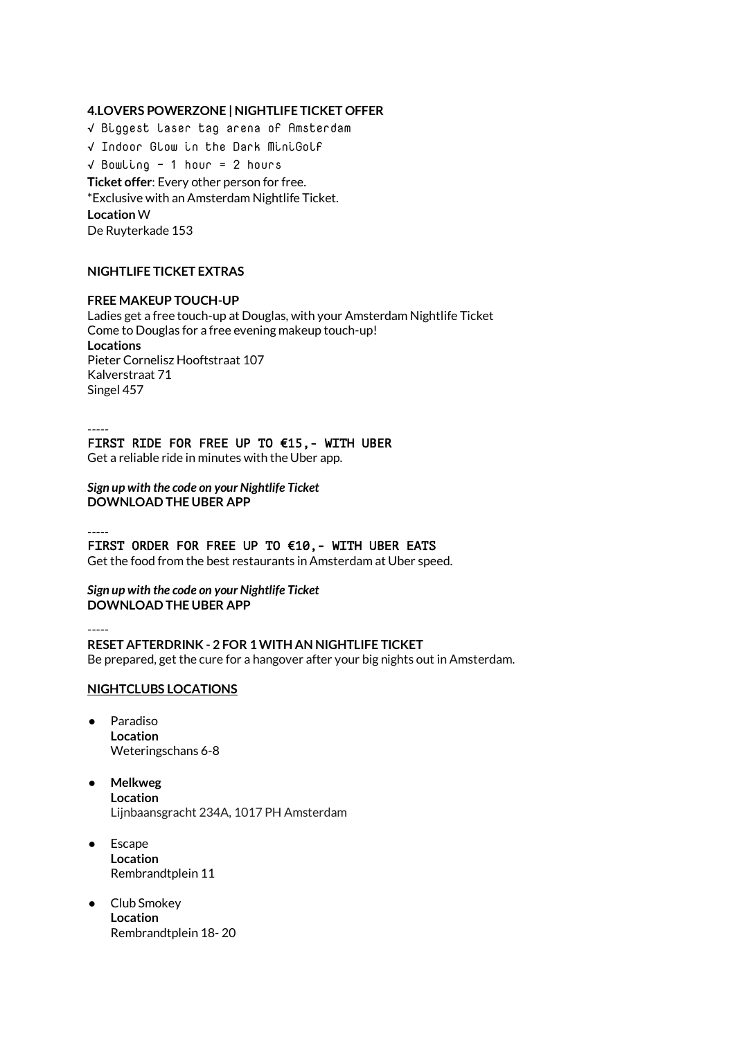## **4.LOVERS POWERZONE | NIGHTLIFE TICKET OFFER**

√ Biggest laser tag arena of Amsterdam √ Indoor Glow in the Dark MiniGolf √ Bowling - 1 hour = 2 hours **Ticket offer**: Every other person for free. \*Exclusive with an Amsterdam Nightlife Ticket. **Location** W De Ruyterkade 153

## **NIGHTLIFE TICKET EXTRAS**

#### **FREE MAKEUP TOUCH-UP**

Ladies get a free touch-up at Douglas, with your Amsterdam Nightlife Ticket Come to Douglas for a free evening makeup touch-up! **Locations** [Pieter Cornelisz Hooftstraat 107](https://www.google.nl/maps/place/Pieter+Cornelisz+Hooftstraat+107,+1071+Amsterdam/@52.3596543,4.8767941,17z/data=!3m1!4b1!4m2!3m1!1s0x47c609e59c80b5c9:0x50c95c03ce9483d1) [Kalverstraat 71](https://www.google.nl/maps/place/Kalverstraat+71,+1012+NZ+Amsterdam/@52.3705644,4.8895622,17z/data=!3m1!4b1!4m2!3m1!1s0x47c609c11e681011:0x104037bc0e50dea4) [Singel 457](https://www.google.nl/maps/place/Singel+457,+1012+WP+Amsterdam/@52.3673561,4.8889777,17z/data=!3m1!4b1!4m2!3m1!1s0x47c609c1d3f52995:0x15f0552b7908e0d4)

-----

## FIRST RIDE FOR FREE UP TO €15,- WITH UBER

Get a reliable ride in minutes with the Uber app.

*Sign up with the code on your Nightlife Ticket* **[DOWNLOAD T](https://get.uber.com/go/)HE UBER APP**

-----

# FIRST ORDER FOR FREE UP TO  $610,$ - WITH UBER EATS

Get the food from the best restaurants in Amsterdam at Uber speed.

#### *Sign up with the code on your Nightlife Ticket* **[DOWNLOAD T](https://get.uber.com/go/)HE UBER APP**

-----

# **RESET AFTERDRINK - 2 FOR 1 WITH AN NIGHTLIFE TICKET**

Be prepared, get the cure for a hangover after your big nights out in Amsterdam.

## **NIGHTCLUBS LOCATIONS**

- Paradiso **Location** Weteringschans 6-8
- **Melkweg Location** Lijnbaansgracht 234A, 1017 PH Amsterdam
- Escape **Location** [Rembrandtplein 11](https://www.google.nl/maps/place/Rembrandtplein+22,+1017+CV+Amsterdam/@52.705282,5.6631863,9z/data=!3m1!4b1!4m2!3m1!1s0x47c6099569640179:0x5a02c88f5b1bc0eb)
- Club Smokey **Location** [Rembrandtplein 18-](https://www.google.nl/maps/place/Rembrandtplein+22,+1017+CV+Amsterdam/@52.705282,5.6631863,9z/data=!3m1!4b1!4m2!3m1!1s0x47c6099569640179:0x5a02c88f5b1bc0eb) 20